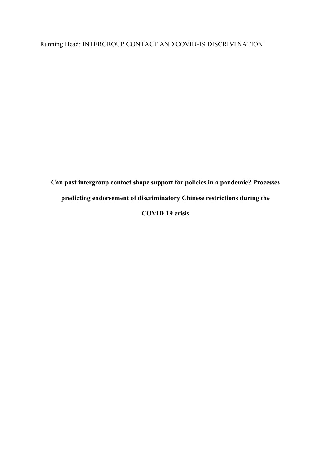# Running Head: INTERGROUP CONTACT AND COVID-19 DISCRIMINATION

**Can past intergroup contact shape support for policies in a pandemic? Processes predicting endorsement of discriminatory Chinese restrictions during the COVID-19 crisis**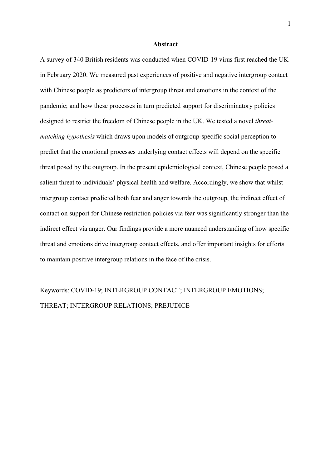#### **Abstract**

A survey of 340 British residents was conducted when COVID-19 virus first reached the UK in February 2020. We measured past experiences of positive and negative intergroup contact with Chinese people as predictors of intergroup threat and emotions in the context of the pandemic; and how these processes in turn predicted support for discriminatory policies designed to restrict the freedom of Chinese people in the UK. We tested a novel *threatmatching hypothesis* which draws upon models of outgroup-specific social perception to predict that the emotional processes underlying contact effects will depend on the specific threat posed by the outgroup. In the present epidemiological context, Chinese people posed a salient threat to individuals' physical health and welfare. Accordingly, we show that whilst intergroup contact predicted both fear and anger towards the outgroup, the indirect effect of contact on support for Chinese restriction policies via fear was significantly stronger than the indirect effect via anger. Our findings provide a more nuanced understanding of how specific threat and emotions drive intergroup contact effects, and offer important insights for efforts to maintain positive intergroup relations in the face of the crisis.

Keywords: COVID-19; INTERGROUP CONTACT; INTERGROUP EMOTIONS; THREAT; INTERGROUP RELATIONS; PREJUDICE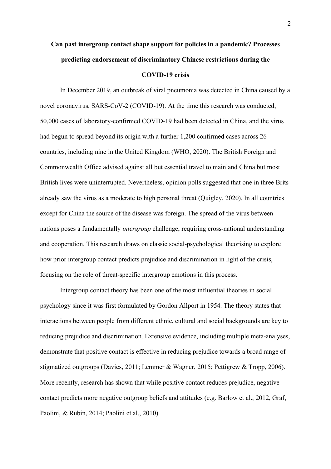# **Can past intergroup contact shape support for policies in a pandemic? Processes predicting endorsement of discriminatory Chinese restrictions during the COVID-19 crisis**

In December 2019, an outbreak of viral pneumonia was detected in China caused by a novel coronavirus, SARS-CoV-2 (COVID-19). At the time this research was conducted, 50,000 cases of laboratory-confirmed COVID-19 had been detected in China, and the virus had begun to spread beyond its origin with a further 1,200 confirmed cases across 26 countries, including nine in the United Kingdom (WHO, 2020). The British Foreign and Commonwealth Office advised against all but essential travel to mainland China but most British lives were uninterrupted. Nevertheless, opinion polls suggested that one in three Brits already saw the virus as a moderate to high personal threat (Quigley, 2020). In all countries except for China the source of the disease was foreign. The spread of the virus between nations poses a fundamentally *intergroup* challenge, requiring cross-national understanding and cooperation. This research draws on classic social-psychological theorising to explore how prior intergroup contact predicts prejudice and discrimination in light of the crisis, focusing on the role of threat-specific intergroup emotions in this process.

Intergroup contact theory has been one of the most influential theories in social psychology since it was first formulated by Gordon Allport in 1954. The theory states that interactions between people from different ethnic, cultural and social backgrounds are key to reducing prejudice and discrimination. Extensive evidence, including multiple meta-analyses, demonstrate that positive contact is effective in reducing prejudice towards a broad range of stigmatized outgroups (Davies, 2011; Lemmer & Wagner, 2015; Pettigrew & Tropp, 2006). More recently, research has shown that while positive contact reduces prejudice, negative contact predicts more negative outgroup beliefs and attitudes (e.g. Barlow et al., 2012, Graf, Paolini, & Rubin, 2014; Paolini et al., 2010).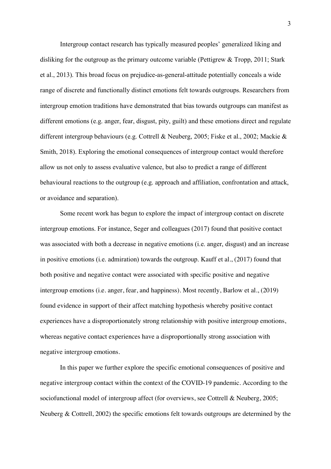Intergroup contact research has typically measured peoples' generalized liking and disliking for the outgroup as the primary outcome variable (Pettigrew & Tropp, 2011; Stark et al., 2013). This broad focus on prejudice-as-general-attitude potentially conceals a wide range of discrete and functionally distinct emotions felt towards outgroups. Researchers from intergroup emotion traditions have demonstrated that bias towards outgroups can manifest as different emotions (e.g. anger, fear, disgust, pity, guilt) and these emotions direct and regulate different intergroup behaviours (e.g. Cottrell & Neuberg, 2005; Fiske et al., 2002; Mackie & Smith, 2018). Exploring the emotional consequences of intergroup contact would therefore allow us not only to assess evaluative valence, but also to predict a range of different behavioural reactions to the outgroup (e.g. approach and affiliation, confrontation and attack, or avoidance and separation).

Some recent work has begun to explore the impact of intergroup contact on discrete intergroup emotions. For instance, Seger and colleagues (2017) found that positive contact was associated with both a decrease in negative emotions (i.e. anger, disgust) and an increase in positive emotions (i.e. admiration) towards the outgroup. Kauff et al., (2017) found that both positive and negative contact were associated with specific positive and negative intergroup emotions (i.e. anger, fear, and happiness). Most recently, Barlow et al., (2019) found evidence in support of their affect matching hypothesis whereby positive contact experiences have a disproportionately strong relationship with positive intergroup emotions, whereas negative contact experiences have a disproportionally strong association with negative intergroup emotions.

In this paper we further explore the specific emotional consequences of positive and negative intergroup contact within the context of the COVID-19 pandemic. According to the sociofunctional model of intergroup affect (for overviews, see Cottrell & Neuberg, 2005; Neuberg & Cottrell, 2002) the specific emotions felt towards outgroups are determined by the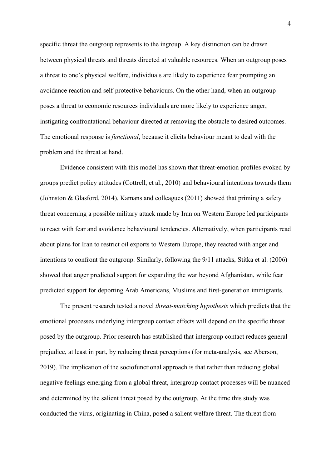specific threat the outgroup represents to the ingroup. A key distinction can be drawn between physical threats and threats directed at valuable resources. When an outgroup poses a threat to one's physical welfare, individuals are likely to experience fear prompting an avoidance reaction and self-protective behaviours. On the other hand, when an outgroup poses a threat to economic resources individuals are more likely to experience anger, instigating confrontational behaviour directed at removing the obstacle to desired outcomes. The emotional response is *functional*, because it elicits behaviour meant to deal with the problem and the threat at hand.

Evidence consistent with this model has shown that threat-emotion profiles evoked by groups predict policy attitudes (Cottrell, et al., 2010) and behavioural intentions towards them (Johnston & Glasford, 2014). Kamans and colleagues (2011) showed that priming a safety threat concerning a possible military attack made by Iran on Western Europe led participants to react with fear and avoidance behavioural tendencies. Alternatively, when participants read about plans for Iran to restrict oil exports to Western Europe, they reacted with anger and intentions to confront the outgroup. Similarly, following the 9/11 attacks, Stitka et al. (2006) showed that anger predicted support for expanding the war beyond Afghanistan, while fear predicted support for deporting Arab Americans, Muslims and first-generation immigrants.

The present research tested a novel *threat-matching hypothesis* which predicts that the emotional processes underlying intergroup contact effects will depend on the specific threat posed by the outgroup. Prior research has established that intergroup contact reduces general prejudice, at least in part, by reducing threat perceptions (for meta-analysis, see Aberson, 2019). The implication of the sociofunctional approach is that rather than reducing global negative feelings emerging from a global threat, intergroup contact processes will be nuanced and determined by the salient threat posed by the outgroup. At the time this study was conducted the virus, originating in China, posed a salient welfare threat. The threat from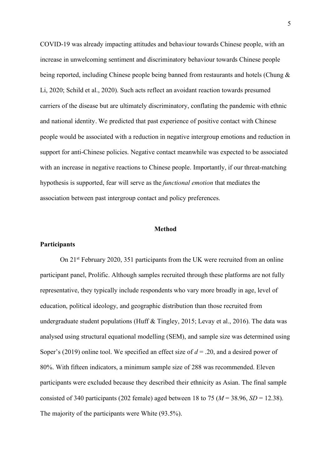COVID-19 was already impacting attitudes and behaviour towards Chinese people, with an increase in unwelcoming sentiment and discriminatory behaviour towards Chinese people being reported, including Chinese people being banned from restaurants and hotels (Chung & Li, 2020; Schild et al., 2020). Such acts reflect an avoidant reaction towards presumed carriers of the disease but are ultimately discriminatory, conflating the pandemic with ethnic and national identity. We predicted that past experience of positive contact with Chinese people would be associated with a reduction in negative intergroup emotions and reduction in support for anti-Chinese policies. Negative contact meanwhile was expected to be associated with an increase in negative reactions to Chinese people. Importantly, if our threat-matching hypothesis is supported, fear will serve as the *functional emotion* that mediates the association between past intergroup contact and policy preferences.

#### **Method**

#### **Participants**

On 21st February 2020, 351 participants from the UK were recruited from an online participant panel, Prolific. Although samples recruited through these platforms are not fully representative, they typically include respondents who vary more broadly in age, level of education, political ideology, and geographic distribution than those recruited from undergraduate student populations (Huff & Tingley, 2015; Levay et al., 2016). The data was analysed using structural equational modelling (SEM), and sample size was determined using Soper's (2019) online tool. We specified an effect size of *d* = .20, and a desired power of 80%. With fifteen indicators, a minimum sample size of 288 was recommended. Eleven participants were excluded because they described their ethnicity as Asian. The final sample consisted of 340 participants (202 female) aged between 18 to 75 ( $M = 38.96$ ,  $SD = 12.38$ ). The majority of the participants were White (93.5%).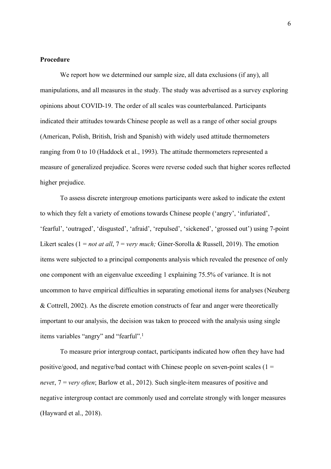# **Procedure**

We report how we determined our sample size, all data exclusions (if any), all manipulations, and all measures in the study. The study was advertised as a survey exploring opinions about COVID-19. The order of all scales was counterbalanced. Participants indicated their attitudes towards Chinese people as well as a range of other social groups (American, Polish, British, Irish and Spanish) with widely used attitude thermometers ranging from 0 to 10 (Haddock et al., 1993). The attitude thermometers represented a measure of generalized prejudice. Scores were reverse coded such that higher scores reflected higher prejudice.

To assess discrete intergroup emotions participants were asked to indicate the extent to which they felt a variety of emotions towards Chinese people ('angry', 'infuriated', 'fearful', 'outraged', 'disgusted', 'afraid', 'repulsed', 'sickened', 'grossed out') using 7-point Likert scales (1 = *not at all*, 7 = *very much*; Giner-Sorolla & Russell, 2019). The emotion items were subjected to a principal components analysis which revealed the presence of only one component with an eigenvalue exceeding 1 explaining 75.5% of variance. It is not uncommon to have empirical difficulties in separating emotional items for analyses (Neuberg & Cottrell, 2002). As the discrete emotion constructs of fear and anger were theoretically important to our analysis, the decision was taken to proceed with the analysis using single items variables "angry" and "fearful".<sup>1</sup>

To measure prior intergroup contact, participants indicated how often they have had positive/good, and negative/bad contact with Chinese people on seven-point scales  $(1 =$ *neve*r, 7 = *very often*; Barlow et al., 2012). Such single-item measures of positive and negative intergroup contact are commonly used and correlate strongly with longer measures (Hayward et al., 2018).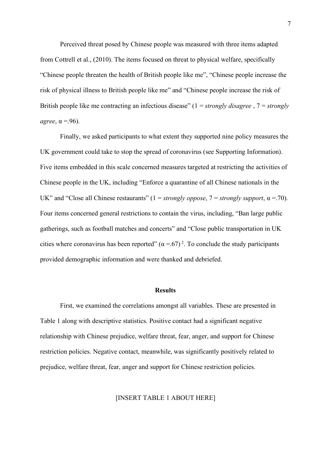Perceived threat posed by Chinese people was measured with three items adapted from Cottrell et al., (2010). The items focused on threat to physical welfare, specifically "Chinese people threaten the health of British people like me", "Chinese people increase the risk of physical illness to British people like me" and "Chinese people increase the risk of British people like me contracting an infectious disease" (1 = *strongly disagree* , 7 = *strongly*   $agree, \alpha = .96$ ).

Finally, we asked participants to what extent they supported nine policy measures the UK government could take to stop the spread of coronavirus (see Supporting Information). Five items embedded in this scale concerned measures targeted at restricting the activities of Chinese people in the UK, including "Enforce a quarantine of all Chinese nationals in the UK" and "Close all Chinese restaurants"  $(1 = \frac{strongly}{oppose}, 7 = \frac{strongly}{support}, \alpha = .70)$ . Four items concerned general restrictions to contain the virus, including, "Ban large public gatherings, such as football matches and concerts" and "Close public transportation in UK cities where coronavirus has been reported"  $(\alpha = .67)^2$ . To conclude the study participants provided demographic information and were thanked and debriefed.

## **Results**

First, we examined the correlations amongst all variables. These are presented in Table 1 along with descriptive statistics. Positive contact had a significant negative relationship with Chinese prejudice, welfare threat, fear, anger, and support for Chinese restriction policies. Negative contact, meanwhile, was significantly positively related to prejudice, welfare threat, fear, anger and support for Chinese restriction policies.

[INSERT TABLE 1 ABOUT HERE]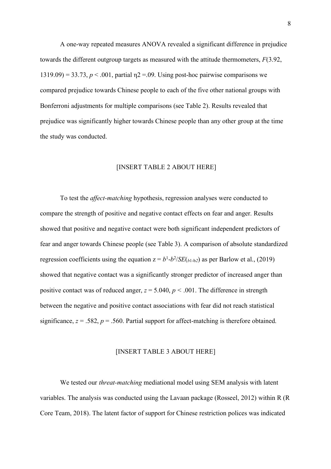A one-way repeated measures ANOVA revealed a significant difference in prejudice towards the different outgroup targets as measured with the attitude thermometers, *F*(3.92, 1319.09) = 33.73,  $p < .001$ , partial  $p = .09$ . Using post-hoc pairwise comparisons we compared prejudice towards Chinese people to each of the five other national groups with Bonferroni adjustments for multiple comparisons (see Table 2). Results revealed that prejudice was significantly higher towards Chinese people than any other group at the time the study was conducted.

#### [INSERT TABLE 2 ABOUT HERE]

To test the *affect-matching* hypothesis, regression analyses were conducted to compare the strength of positive and negative contact effects on fear and anger. Results showed that positive and negative contact were both significant independent predictors of fear and anger towards Chinese people (see Table 3). A comparison of absolute standardized regression coefficients using the equation  $z = b^1-b^2/SE(b^1-b^2)$  as per Barlow et al., (2019) showed that negative contact was a significantly stronger predictor of increased anger than positive contact was of reduced anger,  $z = 5.040$ ,  $p < .001$ . The difference in strength between the negative and positive contact associations with fear did not reach statistical significance,  $z = .582$ ,  $p = .560$ . Partial support for affect-matching is therefore obtained.

#### [INSERT TABLE 3 ABOUT HERE]

We tested our *threat-matching* mediational model using SEM analysis with latent variables. The analysis was conducted using the Lavaan package (Rosseel, 2012) within R (R Core Team, 2018). The latent factor of support for Chinese restriction polices was indicated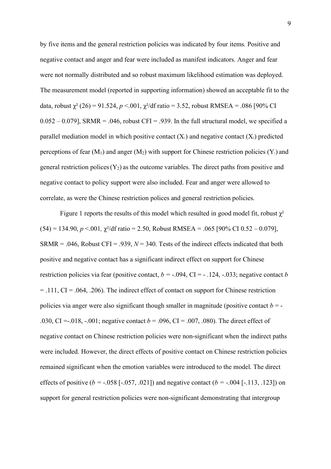by five items and the general restriction policies was indicated by four items*.* Positive and negative contact and anger and fear were included as manifest indicators. Anger and fear were not normally distributed and so robust maximum likelihood estimation was deployed. The measurement model (reported in supporting information) showed an acceptable fit to the data, robust  $\chi^2$  (26) = 91.524, *p* <.001,  $\chi^2$ /df ratio = 3.52, robust RMSEA = .086 [90% CI  $0.052 - 0.079$ ], SRMR = .046, robust CFI = .939. In the full structural model, we specified a parallel mediation model in which positive contact  $(X_1)$  and negative contact  $(X_2)$  predicted perceptions of fear  $(M_1)$  and anger  $(M_2)$  with support for Chinese restriction policies  $(Y_1)$  and general restriction polices  $(Y_2)$  as the outcome variables. The direct paths from positive and negative contact to policy support were also included. Fear and anger were allowed to correlate, as were the Chinese restriction polices and general restriction policies.

Figure 1 reports the results of this model which resulted in good model fit, robust  $\chi^2$  $(54) = 134.90, p \le 0.001, \gamma^2/\text{df}\text{ ratio} = 2.50, \text{Robust RMSEA} = .065 [90\% \text{ CI } 0.52 - 0.079].$ SRMR = .046, Robust CFI = .939,  $N = 340$ . Tests of the indirect effects indicated that both positive and negative contact has a significant indirect effect on support for Chinese restriction policies via fear (positive contact,  $b = -.094$ , CI = - .124, -.033; negative contact *b*  $=$  .111, CI = .064, .206). The indirect effect of contact on support for Chinese restriction policies via anger were also significant though smaller in magnitude (positive contact  $b = -$ .030, CI =  $-0.018$ ,  $-0.001$ ; negative contact  $b = 0.096$ , CI =  $-0.007$ ,  $-0.080$ ). The direct effect of negative contact on Chinese restriction policies were non-significant when the indirect paths were included. However, the direct effects of positive contact on Chinese restriction policies remained significant when the emotion variables were introduced to the model. The direct effects of positive ( $b = -0.058$  [ $-0.057, 0.021$ ]) and negative contact ( $b = -0.004$  [ $-1.113, 1.23$ ]) on support for general restriction policies were non-significant demonstrating that intergroup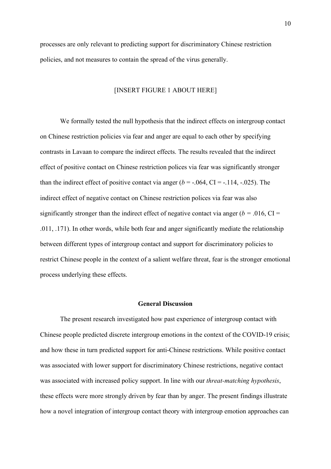processes are only relevant to predicting support for discriminatory Chinese restriction policies, and not measures to contain the spread of the virus generally.

# [INSERT FIGURE 1 ABOUT HERE]

We formally tested the null hypothesis that the indirect effects on intergroup contact on Chinese restriction policies via fear and anger are equal to each other by specifying contrasts in Lavaan to compare the indirect effects. The results revealed that the indirect effect of positive contact on Chinese restriction polices via fear was significantly stronger than the indirect effect of positive contact via anger  $(b = -.064, CI = -.114, -.025)$ . The indirect effect of negative contact on Chinese restriction polices via fear was also significantly stronger than the indirect effect of negative contact via anger ( $b = .016$ , CI = .011, .171). In other words, while both fear and anger significantly mediate the relationship between different types of intergroup contact and support for discriminatory policies to restrict Chinese people in the context of a salient welfare threat, fear is the stronger emotional process underlying these effects.

## **General Discussion**

The present research investigated how past experience of intergroup contact with Chinese people predicted discrete intergroup emotions in the context of the COVID-19 crisis; and how these in turn predicted support for anti-Chinese restrictions. While positive contact was associated with lower support for discriminatory Chinese restrictions, negative contact was associated with increased policy support. In line with our *threat-matching hypothesis*, these effects were more strongly driven by fear than by anger. The present findings illustrate how a novel integration of intergroup contact theory with intergroup emotion approaches can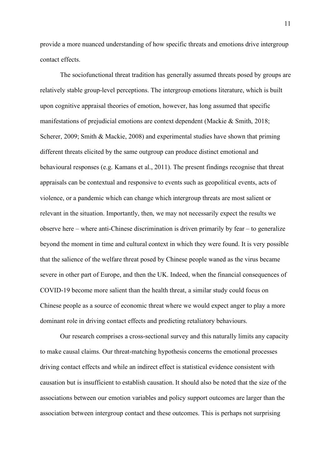provide a more nuanced understanding of how specific threats and emotions drive intergroup contact effects.

The sociofunctional threat tradition has generally assumed threats posed by groups are relatively stable group-level perceptions. The intergroup emotions literature, which is built upon cognitive appraisal theories of emotion, however, has long assumed that specific manifestations of prejudicial emotions are context dependent (Mackie & Smith, 2018; Scherer, 2009; Smith & Mackie, 2008) and experimental studies have shown that priming different threats elicited by the same outgroup can produce distinct emotional and behavioural responses (e.g. Kamans et al., 2011). The present findings recognise that threat appraisals can be contextual and responsive to events such as geopolitical events, acts of violence, or a pandemic which can change which intergroup threats are most salient or relevant in the situation. Importantly, then, we may not necessarily expect the results we observe here – where anti-Chinese discrimination is driven primarily by fear – to generalize beyond the moment in time and cultural context in which they were found. It is very possible that the salience of the welfare threat posed by Chinese people waned as the virus became severe in other part of Europe, and then the UK. Indeed, when the financial consequences of COVID-19 become more salient than the health threat, a similar study could focus on Chinese people as a source of economic threat where we would expect anger to play a more dominant role in driving contact effects and predicting retaliatory behaviours.

Our research comprises a cross-sectional survey and this naturally limits any capacity to make causal claims. Our threat-matching hypothesis concerns the emotional processes driving contact effects and while an indirect effect is statistical evidence consistent with causation but is insufficient to establish causation. It should also be noted that the size of the associations between our emotion variables and policy support outcomes are larger than the association between intergroup contact and these outcomes. This is perhaps not surprising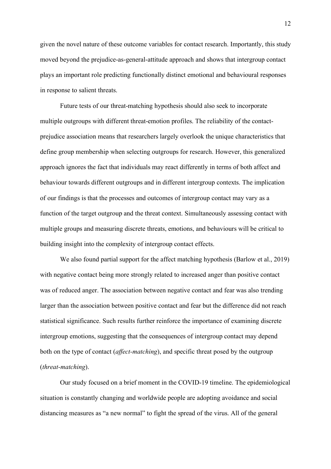given the novel nature of these outcome variables for contact research. Importantly, this study moved beyond the prejudice-as-general-attitude approach and shows that intergroup contact plays an important role predicting functionally distinct emotional and behavioural responses in response to salient threats.

Future tests of our threat-matching hypothesis should also seek to incorporate multiple outgroups with different threat-emotion profiles. The reliability of the contactprejudice association means that researchers largely overlook the unique characteristics that define group membership when selecting outgroups for research. However, this generalized approach ignores the fact that individuals may react differently in terms of both affect and behaviour towards different outgroups and in different intergroup contexts. The implication of our findings is that the processes and outcomes of intergroup contact may vary as a function of the target outgroup and the threat context. Simultaneously assessing contact with multiple groups and measuring discrete threats, emotions, and behaviours will be critical to building insight into the complexity of intergroup contact effects.

We also found partial support for the affect matching hypothesis (Barlow et al., 2019) with negative contact being more strongly related to increased anger than positive contact was of reduced anger. The association between negative contact and fear was also trending larger than the association between positive contact and fear but the difference did not reach statistical significance. Such results further reinforce the importance of examining discrete intergroup emotions, suggesting that the consequences of intergroup contact may depend both on the type of contact (*affect-matching*), and specific threat posed by the outgroup (*threat-matching*).

Our study focused on a brief moment in the COVID-19 timeline. The epidemiological situation is constantly changing and worldwide people are adopting avoidance and social distancing measures as "a new normal" to fight the spread of the virus. All of the general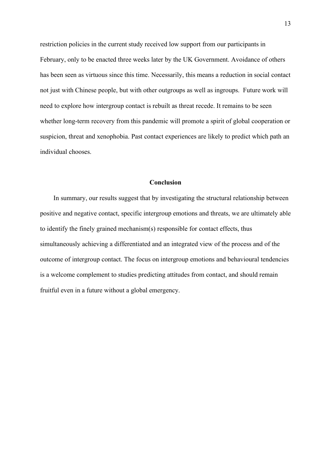restriction policies in the current study received low support from our participants in February, only to be enacted three weeks later by the UK Government. Avoidance of others has been seen as virtuous since this time. Necessarily, this means a reduction in social contact not just with Chinese people, but with other outgroups as well as ingroups. Future work will need to explore how intergroup contact is rebuilt as threat recede. It remains to be seen whether long-term recovery from this pandemic will promote a spirit of global cooperation or suspicion, threat and xenophobia. Past contact experiences are likely to predict which path an individual chooses.

## **Conclusion**

In summary, our results suggest that by investigating the structural relationship between positive and negative contact, specific intergroup emotions and threats, we are ultimately able to identify the finely grained mechanism(s) responsible for contact effects, thus simultaneously achieving a differentiated and an integrated view of the process and of the outcome of intergroup contact. The focus on intergroup emotions and behavioural tendencies is a welcome complement to studies predicting attitudes from contact, and should remain fruitful even in a future without a global emergency.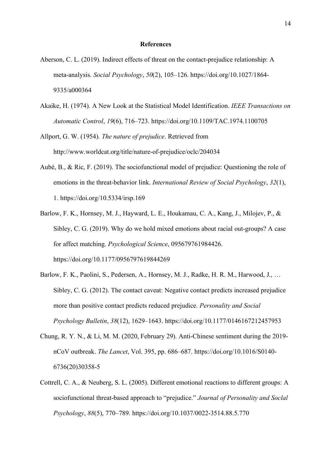#### **References**

- Aberson, C. L. (2019). Indirect effects of threat on the contact-prejudice relationship: A meta-analysis. *Social Psychology*, *50*(2), 105–126. https://doi.org/10.1027/1864- 9335/a000364
- Akaike, H. (1974). A New Look at the Statistical Model Identification. *IEEE Transactions on Automatic Control*, *19*(6), 716–723. https://doi.org/10.1109/TAC.1974.1100705
- Allport, G. W. (1954). *The nature of prejudice*. Retrieved from http://www.worldcat.org/title/nature-of-prejudice/oclc/204034
- Aubé, B., & Ric, F. (2019). The sociofunctional model of prejudice: Questioning the role of emotions in the threat-behavior link. *International Review of Social Psychology*, *32*(1), 1. https://doi.org/10.5334/irsp.169
- Barlow, F. K., Hornsey, M. J., Hayward, L. E., Houkamau, C. A., Kang, J., Milojev, P., & Sibley, C. G. (2019). Why do we hold mixed emotions about racial out-groups? A case for affect matching. *Psychological Science*, 095679761984426. https://doi.org/10.1177/0956797619844269
- Barlow, F. K., Paolini, S., Pedersen, A., Hornsey, M. J., Radke, H. R. M., Harwood, J., … Sibley, C. G. (2012). The contact caveat: Negative contact predicts increased prejudice more than positive contact predicts reduced prejudice. *Personality and Social Psychology Bulletin*, *38*(12), 1629–1643. https://doi.org/10.1177/0146167212457953
- Chung, R. Y. N., & Li, M. M. (2020, February 29). Anti-Chinese sentiment during the 2019 nCoV outbreak. *The Lancet*, Vol. 395, pp. 686–687. https://doi.org/10.1016/S0140- 6736(20)30358-5
- Cottrell, C. A., & Neuberg, S. L. (2005). Different emotional reactions to different groups: A sociofunctional threat-based approach to "prejudice." *Journal of Personality and Soclal Psychology*, *88*(5), 770–789. https://doi.org/10.1037/0022-3514.88.5.770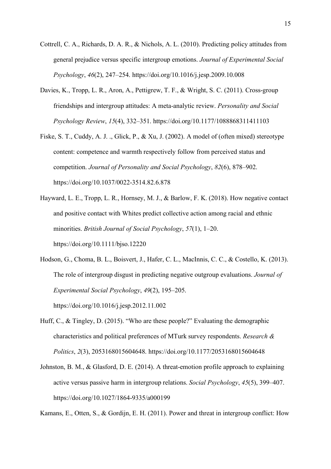- Cottrell, C. A., Richards, D. A. R., & Nichols, A. L. (2010). Predicting policy attitudes from general prejudice versus specific intergroup emotions. *Journal of Experimental Social Psychology*, *46*(2), 247–254. https://doi.org/10.1016/j.jesp.2009.10.008
- Davies, K., Tropp, L. R., Aron, A., Pettigrew, T. F., & Wright, S. C. (2011). Cross-group friendships and intergroup attitudes: A meta-analytic review. *Personality and Social Psychology Review*, *15*(4), 332–351. https://doi.org/10.1177/1088868311411103
- Fiske, S. T., Cuddy, A. J. ., Glick, P., & Xu, J. (2002). A model of (often mixed) stereotype content: competence and warmth respectively follow from perceived status and competition. *Journal of Personality and Social Psychology*, *82*(6), 878–902. https://doi.org/10.1037/0022-3514.82.6.878
- Hayward, L. E., Tropp, L. R., Hornsey, M. J., & Barlow, F. K. (2018). How negative contact and positive contact with Whites predict collective action among racial and ethnic minorities. *British Journal of Social Psychology*, *57*(1), 1–20. https://doi.org/10.1111/bjso.12220
- Hodson, G., Choma, B. L., Boisvert, J., Hafer, C. L., MacInnis, C. C., & Costello, K. (2013). The role of intergroup disgust in predicting negative outgroup evaluations. *Journal of Experimental Social Psychology*, *49*(2), 195–205. https://doi.org/10.1016/j.jesp.2012.11.002
- Huff, C., & Tingley, D. (2015). "Who are these people?" Evaluating the demographic characteristics and political preferences of MTurk survey respondents. *Research & Politics*, *2*(3), 2053168015604648. https://doi.org/10.1177/2053168015604648
- Johnston, B. M., & Glasford, D. E. (2014). A threat-emotion profile approach to explaining active versus passive harm in intergroup relations. *Social Psychology*, *45*(5), 399–407. https://doi.org/10.1027/1864-9335/a000199

Kamans, E., Otten, S., & Gordijn, E. H. (2011). Power and threat in intergroup conflict: How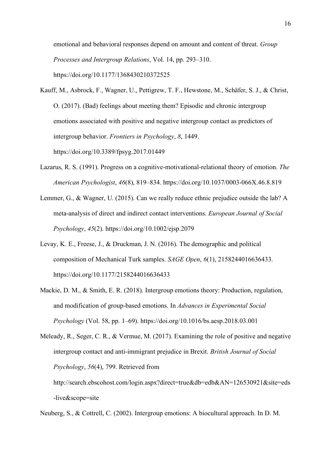emotional and behavioral responses depend on amount and content of threat. *Group Processes and Intergroup Relations*, Vol. 14, pp. 293–310. https://doi.org/10.1177/1368430210372525

- Kauff, M., Asbrock, F., Wagner, U., Pettigrew, T. F., Hewstone, M., Schäfer, S. J., & Christ, O. (2017). (Bad) feelings about meeting them? Episodic and chronic intergroup emotions associated with positive and negative intergroup contact as predictors of intergroup behavior. *Frontiers in Psychology*, *8*, 1449. https://doi.org/10.3389/fpsyg.2017.01449
- Lazarus, R. S. (1991). Progress on a cognitive-motivational-relational theory of emotion. *The American Psychologist*, *46*(8), 819–834. https://doi.org/10.1037/0003-066X.46.8.819
- Lemmer, G., & Wagner, U. (2015). Can we really reduce ethnic prejudice outside the lab? A meta-analysis of direct and indirect contact interventions. *European Journal of Social Psychology*, *45*(2). https://doi.org/10.1002/ejsp.2079
- Levay, K. E., Freese, J., & Druckman, J. N. (2016). The demographic and political composition of Mechanical Turk samples. *SAGE Open*, *6*(1), 2158244016636433. https://doi.org/10.1177/2158244016636433
- Mackie, D. M., & Smith, E. R. (2018). Intergroup emotions theory: Production, regulation, and modification of group-based emotions. In *Advances in Experimental Social Psychology* (Vol. 58, pp. 1–69). https://doi.org/10.1016/bs.aesp.2018.03.001

```
Meleady, R., Seger, C. R., & Vermue, M. (2017). Examining the role of positive and negative 
intergroup contact and anti-immigrant prejudice in Brexit. British Journal of Social 
Psychology, 56(4), 799. Retrieved from 
http://search.ebscohost.com/login.aspx?direct=true&db=edb&AN=126530921&site=eds
-live&scope=site
```
Neuberg, S., & Cottrell, C. (2002). Intergroup emotions: A biocultural approach. In D. M.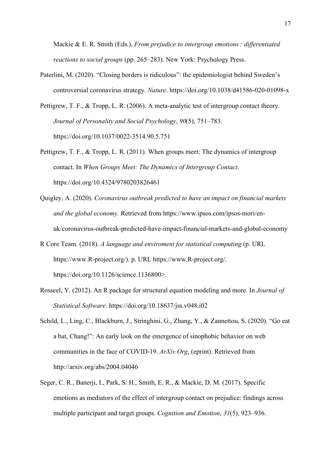Mackie & E. R. Smith (Eds.), *From prejudice to intergroup emotions: differentiated reactions to social groups* (pp. 265–283). New York: Psychology Press.

- Paterlini, M. (2020). "Closing borders is ridiculous": the epidemiologist behind Sweden's controversial coronavirus strategy. *Nature*. https://doi.org/10.1038/d41586-020-01098-x
- Pettigrew, T. F., & Tropp, L. R. (2006). A meta-analytic test of intergroup contact theory. *Journal of Personality and Social Psychology*, *90*(5), 751–783. https://doi.org/10.1037/0022-3514.90.5.751
- Pettigrew, T. F., & Tropp, L. R. (2011). When groups meet: The dynamics of intergroup contact. In *When Groups Meet: The Dynamics of Intergroup Contact*. https://doi.org/10.4324/9780203826461
- Quigley, A. (2020). *Coronavirus outbreak predicted to have an impact on financial markets and the global economy.* Retrieved from https://www.ipsos.com/ipsos-mori/enuk/coronavirus-outbreak-predicted-have-impact-financial-markets-and-global-economy
- R Core Team. (2018). *A language and enviroment for statistical computing* (p. URL https://www.R-project.org/). p. URL https://www.R-project.org/. https://doi.org/10.1126/science.1136800>.
- Rosseel, Y. (2012). An R package for structural equation modeling and more. In *Journal of Statistical Software*. https://doi.org/10.18637/jss.v048.i02
- Schild, L., Ling, C., Blackburn, J., Stringhini, G., Zhang, Y., & Zannettou, S. (2020). "Go eat a bat, Chang!": An early look on the emergence of sinophobic behavior on web communities in the face of COVID-19. *ArXiv.Org*, (eprint). Retrieved from http://arxiv.org/abs/2004.04046
- Seger, C. R., Banerji, I., Park, S. H., Smith, E. R., & Mackie, D. M. (2017). Specific emotions as mediators of the effect of intergroup contact on prejudice: findings across multiple participant and target groups. *Cognition and Emotion*, *31*(5), 923–936.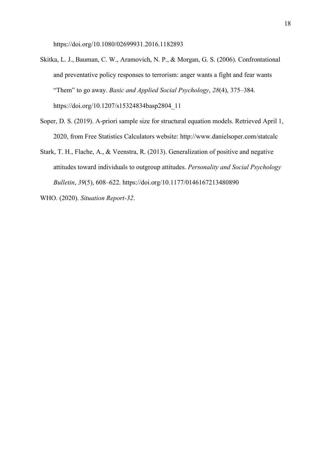https://doi.org/10.1080/02699931.2016.1182893

- Skitka, L. J., Bauman, C. W., Aramovich, N. P., & Morgan, G. S. (2006). Confrontational and preventative policy responses to terrorism: anger wants a fight and fear wants "Them" to go away. *Basic and Applied Social Psychology*, *28*(4), 375–384. https://doi.org/10.1207/s15324834basp2804\_11
- Soper, D. S. (2019). A-priori sample size for structural equation models. Retrieved April 1, 2020, from Free Statistics Calculators website: http://www.danielsoper.com/statcalc
- Stark, T. H., Flache, A., & Veenstra, R. (2013). Generalization of positive and negative attitudes toward individuals to outgroup attitudes. *Personality and Social Psychology Bulletin*, *39*(5), 608–622. https://doi.org/10.1177/0146167213480890
- WHO. (2020). *Situation Report-32*.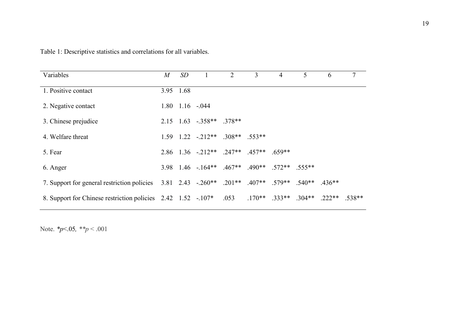| Variables                                                                                 | $M_{\rm}$ | SD        |                                                   | $\overline{2}$ | $\overline{3}$ | 4 | 5 | 6                                               | $\tau$ |
|-------------------------------------------------------------------------------------------|-----------|-----------|---------------------------------------------------|----------------|----------------|---|---|-------------------------------------------------|--------|
| 1. Positive contact                                                                       |           | 3.95 1.68 |                                                   |                |                |   |   |                                                 |        |
| 2. Negative contact                                                                       |           |           | $1.80$ $1.16$ $-0.044$                            |                |                |   |   |                                                 |        |
| 3. Chinese prejudice                                                                      |           |           | $2.15$ $1.63$ $-0.358**$ $0.378**$                |                |                |   |   |                                                 |        |
| 4. Welfare threat                                                                         |           |           | $1.59$ $1.22$ $-212**$ $308**$ $.553**$           |                |                |   |   |                                                 |        |
| 5. Fear                                                                                   |           |           | $2.86$ $1.36$ $-212**$ $.247**$ $.457**$ $.659**$ |                |                |   |   |                                                 |        |
| 6. Anger                                                                                  |           |           | 3.98 1.46 - 164** .467** .490** .572** .555**     |                |                |   |   |                                                 |        |
| 7. Support for general restriction policies 3.81 2.43 -.260** .201** .407** .579** .540** |           |           |                                                   |                |                |   |   | $.436**$                                        |        |
| 8. Support for Chinese restriction policies 2.42 1.52 - 107*                              |           |           |                                                   | .053           |                |   |   | $.170***$ $.333***$ $.304***$ $.222**$ $.538**$ |        |

Table 1: Descriptive statistics and correlations for all variables.

Note. *\*p*<.05*, \*\*p* < .001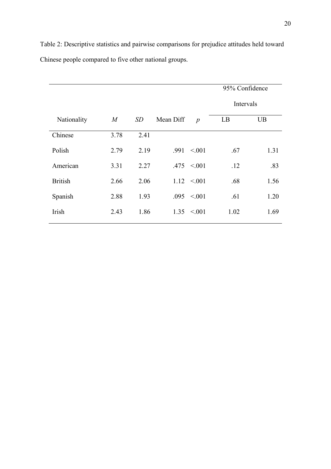|                |                  |      |           |                  | 95% Confidence |           |  |  |
|----------------|------------------|------|-----------|------------------|----------------|-----------|--|--|
|                |                  |      |           |                  |                | Intervals |  |  |
| Nationality    | $\boldsymbol{M}$ | SD   | Mean Diff | $\boldsymbol{p}$ | LB             | <b>UB</b> |  |  |
| Chinese        | 3.78             | 2.41 |           |                  |                |           |  |  |
| Polish         | 2.79             | 2.19 | .991      | < 0.01           | .67            | 1.31      |  |  |
| American       | 3.31             | 2.27 |           | $.475 \le 0.001$ | .12            | .83       |  |  |
| <b>British</b> | 2.66             | 2.06 |           | $1.12 \le 0.001$ | .68            | 1.56      |  |  |
| Spanish        | 2.88             | 1.93 | .095      | < 0.01           | .61            | 1.20      |  |  |
| Irish          | 2.43             | 1.86 | 1.35      | < 0.01           | 1.02           | 1.69      |  |  |

Table 2: Descriptive statistics and pairwise comparisons for prejudice attitudes held toward Chinese people compared to five other national groups.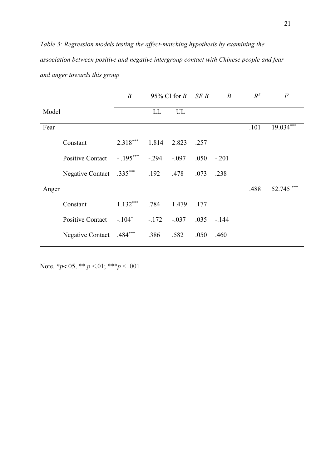*Table 3: Regression models testing the affect-matching hypothesis by examining the association between positive and negative intergroup contact with Chinese people and fear and anger towards this group*

|       |                         | $\boldsymbol{B}$ | 95% CI for $B$ |             | SEB  | $\boldsymbol{B}$ | $R^2$ | $\overline{F}$ |
|-------|-------------------------|------------------|----------------|-------------|------|------------------|-------|----------------|
| Model |                         |                  | LL             | UL          |      |                  |       |                |
| Fear  |                         |                  |                |             |      |                  | .101  | $19.034***$    |
|       | Constant                | $2.318***$       |                | 1.814 2.823 | .257 |                  |       |                |
|       | <b>Positive Contact</b> | $-.195***$       | $-.294$        | $-.097$     | .050 | $-.201$          |       |                |
|       | <b>Negative Contact</b> | $.335***$ . 192  |                | .478        | .073 | .238             |       |                |
| Anger |                         |                  |                |             |      |                  | .488  | 52.745         |
|       | Constant                | $1.132***$       | .784           | 1.479       | .177 |                  |       |                |
|       | <b>Positive Contact</b> | $-.104*$         | $-.172$        | $-.037$     |      | $.035 - .144$    |       |                |
|       | <b>Negative Contact</b> | $.484***$        | .386           | .582        | .050 | .460             |       |                |

Note. *\*p*<.05*,* \*\* *p* <.01; \*\*\**p* < .001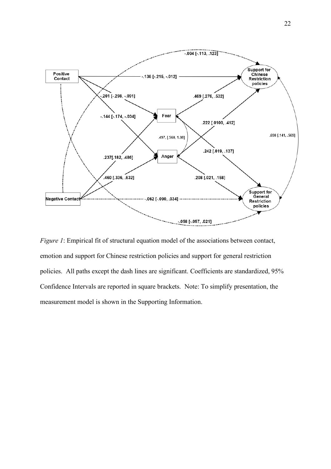

*Figure 1*: Empirical fit of structural equation model of the associations between contact, emotion and support for Chinese restriction policies and support for general restriction policies. All paths except the dash lines are significant. Coefficients are standardized, 95% Confidence Intervals are reported in square brackets. Note: To simplify presentation, the measurement model is shown in the Supporting Information.